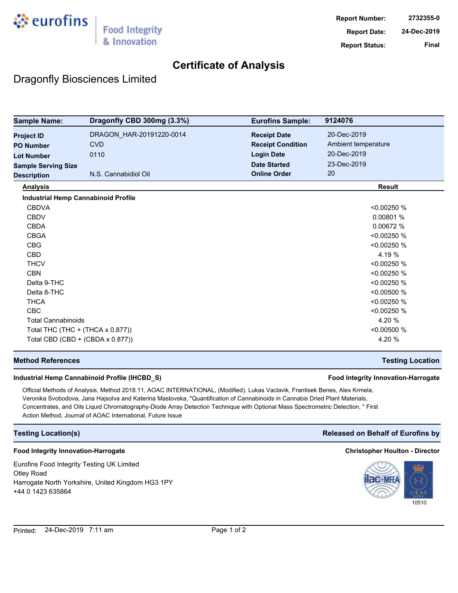

## **Certificate of Analysis**

## Dragonfly Biosciences Limited

| <b>Sample Name:</b>                        | Dragonfly CBD 300mg (3.3%) | <b>Eurofins Sample:</b>  | 9124076             |
|--------------------------------------------|----------------------------|--------------------------|---------------------|
| <b>Project ID</b>                          | DRAGON_HAR-20191220-0014   | <b>Receipt Date</b>      | 20-Dec-2019         |
| <b>PO Number</b>                           | <b>CVD</b>                 | <b>Receipt Condition</b> | Ambient temperature |
| <b>Lot Number</b>                          | 0110                       | <b>Login Date</b>        | 20-Dec-2019         |
| <b>Sample Serving Size</b>                 |                            | <b>Date Started</b>      | 23-Dec-2019         |
| <b>Description</b>                         | N.S. Cannabidiol Oil       | <b>Online Order</b>      | 20                  |
| <b>Analysis</b>                            |                            |                          | <b>Result</b>       |
| <b>Industrial Hemp Cannabinoid Profile</b> |                            |                          |                     |
| <b>CBDVA</b>                               |                            |                          | < 0.00250 %         |
| <b>CBDV</b>                                |                            |                          | 0.00801%            |
| <b>CBDA</b>                                |                            |                          | 0.00672 %           |
| <b>CBGA</b>                                |                            |                          | < 0.00250 %         |
| <b>CBG</b>                                 |                            |                          | < 0.00250 %         |
| <b>CBD</b>                                 |                            |                          | 4.19 %              |
| <b>THCV</b>                                |                            |                          | < 0.00250 %         |
| <b>CBN</b>                                 |                            |                          | < 0.00250 %         |
| Delta 9-THC                                |                            |                          | < 0.00250 %         |
| Delta 8-THC                                |                            |                          | < 0.00500 %         |
| <b>THCA</b>                                |                            |                          | < 0.00250 %         |
| <b>CBC</b>                                 |                            |                          | < 0.00250 %         |
| <b>Total Cannabinoids</b>                  |                            |                          | 4.20 %              |
| Total THC (THC + (THCA x 0.877))           |                            |                          | < 0.00500 %         |
| Total CBD (CBD + (CBDA x 0.877))           |                            |                          | 4.20 %              |

### **Method References Testing Location**

### **Industrial Hemp Cannabinoid Profile (IHCBD\_S) Food Integrity Innovation-Harrogate**

Official Methods of Analysis, Method 2018.11, AOAC INTERNATIONAL, (Modified). Lukas Vaclavik, Frantisek Benes, Alex Krmela, Veronika Svobodova, Jana Hajsolva and Katerina Mastovska, "Quantification of Cannabinoids in Cannabis Dried Plant Materials, Concentrates, and Oils Liquid Chromatography-Diode Array Detection Technique with Optional Mass Spectrometric Detection, " First Action Method, Journal of AOAC International, Future Issue

#### **Food Integrity Innovation-Harrogate Christopher Houlton - Director**

Eurofins Food Integrity Testing UK Limited Otley Road Harrogate North Yorkshire, United Kingdom HG3 1PY +44 0 1423 635864

### **Testing Location(s) Released on Behalf of Eurofins by**